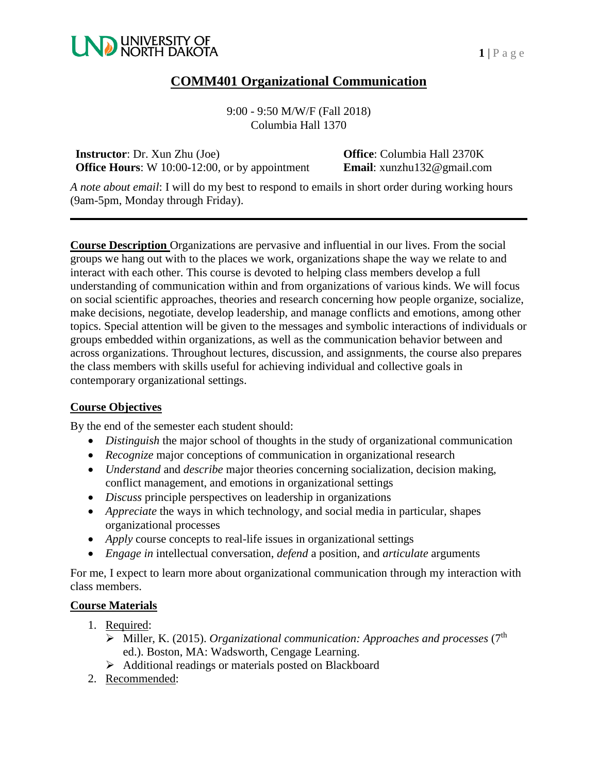

### **COMM401 Organizational Communication**

9:00 - 9:50 M/W/F (Fall 2018) Columbia Hall 1370

**Instructor**: Dr. Xun Zhu (Joe) **Office**: Columbia Hall 2370K **Office Hours**: W 10:00-12:00, or by appointment **Email**: xunzhu132@gmail.com

*A note about email*: I will do my best to respond to emails in short order during working hours (9am-5pm, Monday through Friday).

**Course Description** Organizations are pervasive and influential in our lives. From the social groups we hang out with to the places we work, organizations shape the way we relate to and interact with each other. This course is devoted to helping class members develop a full understanding of communication within and from organizations of various kinds. We will focus on social scientific approaches, theories and research concerning how people organize, socialize, make decisions, negotiate, develop leadership, and manage conflicts and emotions, among other topics. Special attention will be given to the messages and symbolic interactions of individuals or groups embedded within organizations, as well as the communication behavior between and across organizations. Throughout lectures, discussion, and assignments, the course also prepares the class members with skills useful for achieving individual and collective goals in contemporary organizational settings.

### **Course Objectives**

By the end of the semester each student should:

- *Distinguish* the major school of thoughts in the study of organizational communication
- *Recognize* major conceptions of communication in organizational research
- *Understand* and *describe* major theories concerning socialization, decision making, conflict management, and emotions in organizational settings
- *Discuss* principle perspectives on leadership in organizations
- *Appreciate* the ways in which technology, and social media in particular, shapes organizational processes
- *Apply* course concepts to real-life issues in organizational settings
- *Engage in* intellectual conversation, *defend* a position, and *articulate* arguments

For me, I expect to learn more about organizational communication through my interaction with class members.

### **Course Materials**

- 1. Required:
	- ➢ Miller, K. (2015). *Organizational communication: Approaches and processes* (7th ed.). Boston, MA: Wadsworth, Cengage Learning.
	- ➢ Additional readings or materials posted on Blackboard
- 2. Recommended: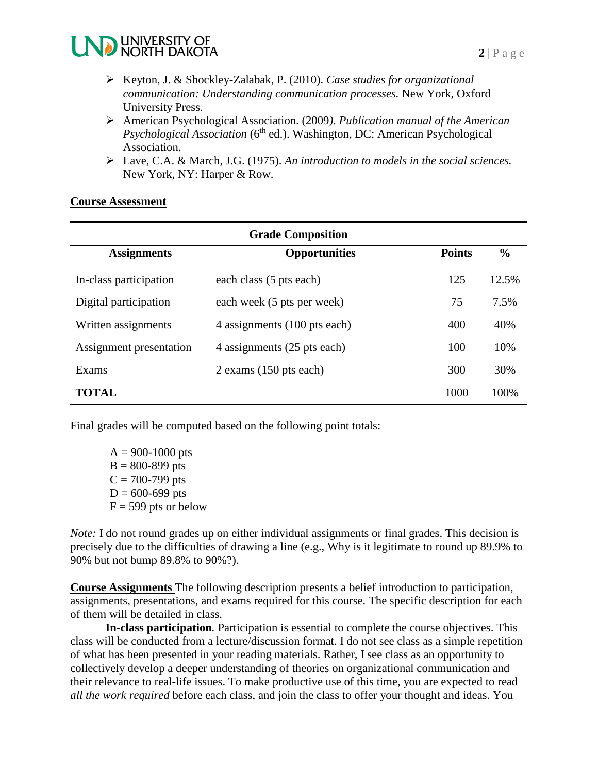

- ➢ Keyton, J. & Shockley-Zalabak, P. (2010). *Case studies for organizational communication: Understanding communication processes.* New York, Oxford University Press.
- ➢ American Psychological Association. (2009*). Publication manual of the American Psychological Association* (6<sup>th</sup> ed.). Washington, DC: American Psychological Association.
- ➢ Lave, C.A. & March, J.G. (1975). *An introduction to models in the social sciences.*  New York, NY: Harper & Row.

#### **Course Assessment**

| <b>Grade Composition</b> |                              |               |               |  |  |  |
|--------------------------|------------------------------|---------------|---------------|--|--|--|
| <b>Assignments</b>       | <b>Opportunities</b>         | <b>Points</b> | $\frac{6}{9}$ |  |  |  |
| In-class participation   | each class (5 pts each)      | 125           | 12.5%         |  |  |  |
| Digital participation    | each week (5 pts per week)   | 75            | 7.5%          |  |  |  |
| Written assignments      | 4 assignments (100 pts each) | 400           | 40%           |  |  |  |
| Assignment presentation  | 4 assignments (25 pts each)  | 100           | 10%           |  |  |  |
| Exams                    | 2 exams (150 pts each)       | 300           | 30%           |  |  |  |
| TOTAL                    |                              | 1000          | 100%          |  |  |  |

Final grades will be computed based on the following point totals:

 $A = 900 - 1000$  pts  $B = 800 - 899$  pts  $C = 700 - 799$  pts  $D = 600 - 699$  pts  $F = 599$  pts or below

*Note:* I do not round grades up on either individual assignments or final grades. This decision is precisely due to the difficulties of drawing a line (e.g., Why is it legitimate to round up 89.9% to 90% but not bump 89.8% to 90%?).

**Course Assignments** The following description presents a belief introduction to participation, assignments, presentations, and exams required for this course. The specific description for each of them will be detailed in class.

**In-class participation***.* Participation is essential to complete the course objectives. This class will be conducted from a lecture/discussion format. I do not see class as a simple repetition of what has been presented in your reading materials. Rather, I see class as an opportunity to collectively develop a deeper understanding of theories on organizational communication and their relevance to real-life issues. To make productive use of this time, you are expected to read *all the work required* before each class, and join the class to offer your thought and ideas. You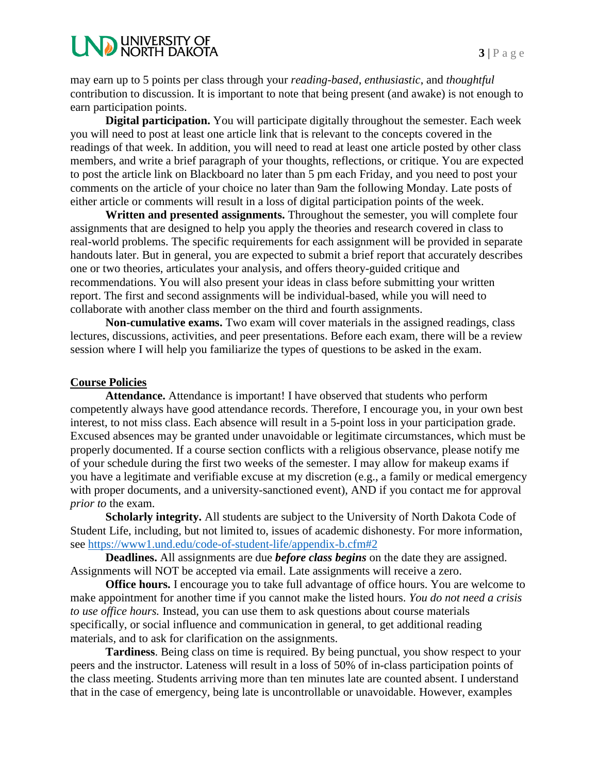# **LND UNIVERSITY OF**

may earn up to 5 points per class through your *reading-based*, *enthusiastic*, and *thoughtful* contribution to discussion. It is important to note that being present (and awake) is not enough to earn participation points.

**Digital participation.** You will participate digitally throughout the semester. Each week you will need to post at least one article link that is relevant to the concepts covered in the readings of that week. In addition, you will need to read at least one article posted by other class members, and write a brief paragraph of your thoughts, reflections, or critique. You are expected to post the article link on Blackboard no later than 5 pm each Friday, and you need to post your comments on the article of your choice no later than 9am the following Monday. Late posts of either article or comments will result in a loss of digital participation points of the week.

**Written and presented assignments.** Throughout the semester, you will complete four assignments that are designed to help you apply the theories and research covered in class to real-world problems. The specific requirements for each assignment will be provided in separate handouts later. But in general, you are expected to submit a brief report that accurately describes one or two theories, articulates your analysis, and offers theory-guided critique and recommendations. You will also present your ideas in class before submitting your written report. The first and second assignments will be individual-based, while you will need to collaborate with another class member on the third and fourth assignments.

**Non-cumulative exams.** Two exam will cover materials in the assigned readings, class lectures, discussions, activities, and peer presentations. Before each exam, there will be a review session where I will help you familiarize the types of questions to be asked in the exam.

#### **Course Policies**

**Attendance.** Attendance is important! I have observed that students who perform competently always have good attendance records. Therefore, I encourage you, in your own best interest, to not miss class. Each absence will result in a 5-point loss in your participation grade. Excused absences may be granted under unavoidable or legitimate circumstances, which must be properly documented. If a course section conflicts with a religious observance, please notify me of your schedule during the first two weeks of the semester. I may allow for makeup exams if you have a legitimate and verifiable excuse at my discretion (e.g., a family or medical emergency with proper documents, and a university-sanctioned event), AND if you contact me for approval *prior to* the exam.

**Scholarly integrity.** All students are subject to the University of North Dakota Code of Student Life, including, but not limited to, issues of academic dishonesty. For more information, see<https://www1.und.edu/code-of-student-life/appendix-b.cfm#2>

**Deadlines.** All assignments are due *before class begins* on the date they are assigned. Assignments will NOT be accepted via email. Late assignments will receive a zero.

**Office hours.** I encourage you to take full advantage of office hours. You are welcome to make appointment for another time if you cannot make the listed hours. *You do not need a crisis to use office hours.* Instead, you can use them to ask questions about course materials specifically, or social influence and communication in general, to get additional reading materials, and to ask for clarification on the assignments.

**Tardiness**. Being class on time is required. By being punctual, you show respect to your peers and the instructor. Lateness will result in a loss of 50% of in-class participation points of the class meeting. Students arriving more than ten minutes late are counted absent. I understand that in the case of emergency, being late is uncontrollable or unavoidable. However, examples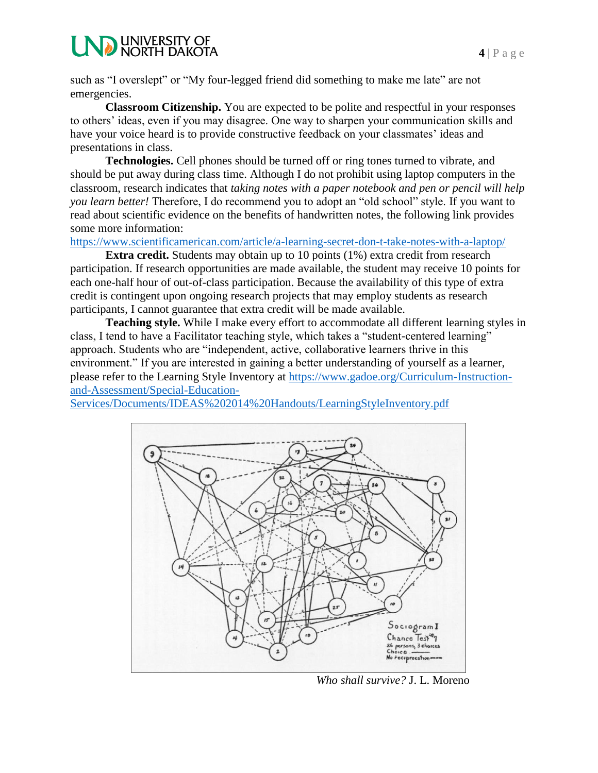## UNIVERSITY OF<br>NORTH DAKOTA

such as "I overslept" or "My four-legged friend did something to make me late" are not emergencies.

**Classroom Citizenship.** You are expected to be polite and respectful in your responses to others' ideas, even if you may disagree. One way to sharpen your communication skills and have your voice heard is to provide constructive feedback on your classmates' ideas and presentations in class.

**Technologies.** Cell phones should be turned off or ring tones turned to vibrate, and should be put away during class time. Although I do not prohibit using laptop computers in the classroom, research indicates that *taking notes with a paper notebook and pen or pencil will help you learn better!* Therefore, I do recommend you to adopt an "old school" style. If you want to read about scientific evidence on the benefits of handwritten notes, the following link provides some more information:

<https://www.scientificamerican.com/article/a-learning-secret-don-t-take-notes-with-a-laptop/>

**Extra credit.** Students may obtain up to 10 points (1%) extra credit from research participation. If research opportunities are made available, the student may receive 10 points for each one-half hour of out-of-class participation. Because the availability of this type of extra credit is contingent upon ongoing research projects that may employ students as research participants, I cannot guarantee that extra credit will be made available.

**Teaching style.** While I make every effort to accommodate all different learning styles in class, I tend to have a Facilitator teaching style, which takes a "student-centered learning" approach. Students who are "independent, active, collaborative learners thrive in this environment." If you are interested in gaining a better understanding of yourself as a learner, please refer to the Learning Style Inventory at [https://www.gadoe.org/Curriculum-Instruction](https://www.gadoe.org/Curriculum-Instruction-and-Assessment/Special-Education-Services/Documents/IDEAS%202014%20Handouts/LearningStyleInventory.pdf)[and-Assessment/Special-Education-](https://www.gadoe.org/Curriculum-Instruction-and-Assessment/Special-Education-Services/Documents/IDEAS%202014%20Handouts/LearningStyleInventory.pdf)

[Services/Documents/IDEAS%202014%20Handouts/LearningStyleInventory.pdf](https://www.gadoe.org/Curriculum-Instruction-and-Assessment/Special-Education-Services/Documents/IDEAS%202014%20Handouts/LearningStyleInventory.pdf)



*Who shall survive?* J. L. Moreno